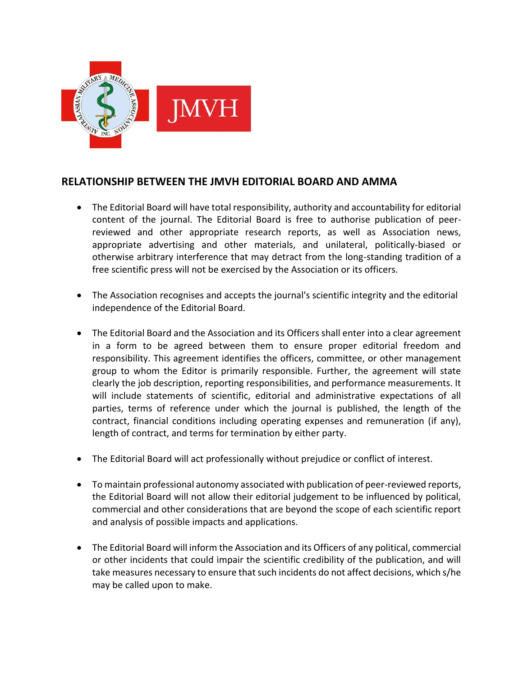

## **RELATIONSHIP BETWEEN THE JMVH EDITORIAL BOARD AND AMMA**

- The Editorial Board will have total responsibility, authority and accountability for editorial content of the journal. The Editorial Board is free to authorise publication of peerreviewed and other appropriate research reports, as well as Association news, appropriate advertising and other materials, and unilateral, politically-biased or otherwise arbitrary interference that may detract from the long-standing tradition of a free scientific press will not be exercised by the Association or its officers.
- The Association recognises and accepts the journal's scientific integrity and the editorial independence of the Editorial Board.
- The Editorial Board and the Association and its Officers shall enter into a clear agreement in a form to be agreed between them to ensure proper editorial freedom and responsibility. This agreement identifies the officers, committee, or other management group to whom the Editor is primarily responsible. Further, the agreement will state clearly the job description, reporting responsibilities, and performance measurements. It will include statements of scientific, editorial and administrative expectations of all parties, terms of reference under which the journal is published, the length of the contract, financial conditions including operating expenses and remuneration (if any), length of contract, and terms for termination by either party.
- The Editorial Board will act professionally without prejudice or conflict of interest.
- To maintain professional autonomy associated with publication of peer-reviewed reports, the Editorial Board will not allow their editorial judgement to be influenced by political, commercial and other considerations that are beyond the scope of each scientific report and analysis of possible impacts and applications.
- The Editorial Board will inform the Association and its Officers of any political, commercial or other incidents that could impair the scientific credibility of the publication, and will take measures necessary to ensure that such incidents do not affect decisions, which s/he may be called upon to make.